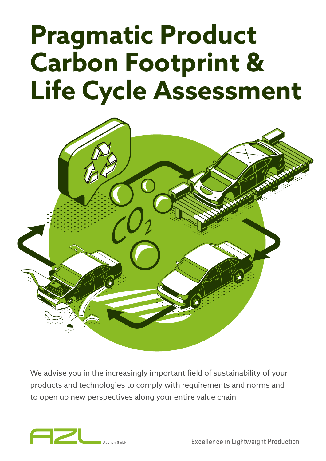# **Pragmatic Product Carbon Footprint & Life Cycle Assessment**



We advise you in the increasingly important field of sustainability of your products and technologies to comply with requirements and norms and to open up new perspectives along your entire value chain



**Excellence in Lightweight Production**